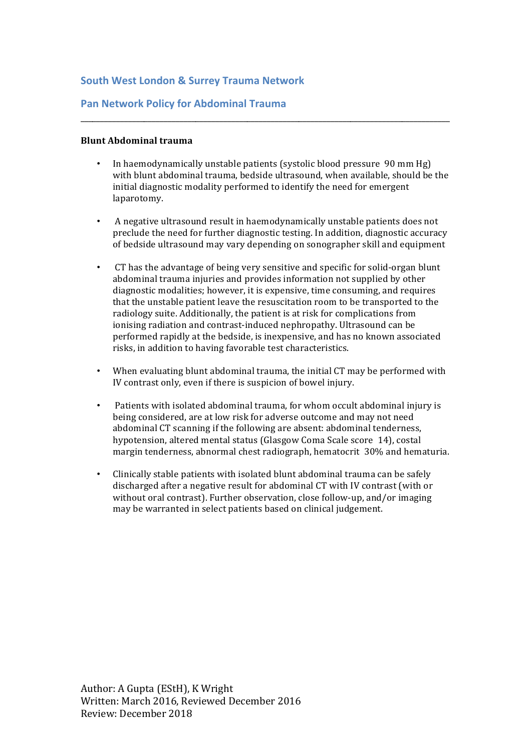# **South West London & Surrey Trauma Network**

# **Pan Network Policy for Abdominal Trauma**

#### **Blunt Abdominal trauma**

In haemodynamically unstable patients (systolic blood pressure 90 mm Hg) with blunt abdominal trauma, bedside ultrasound, when available, should be the initial diagnostic modality performed to identify the need for emergent laparotomy.

\_\_\_\_\_\_\_\_\_\_\_\_\_\_\_\_\_\_\_\_\_\_\_\_\_\_\_\_\_\_\_\_\_\_\_\_\_\_\_\_\_\_\_\_\_\_\_\_\_\_\_\_\_\_\_\_\_\_\_\_\_\_\_\_\_\_\_\_\_\_\_\_\_\_\_\_\_\_\_\_\_\_\_\_\_\_\_\_\_\_\_\_\_

- A negative ultrasound result in haemodynamically unstable patients does not preclude the need for further diagnostic testing. In addition, diagnostic accuracy of bedside ultrasound may vary depending on sonographer skill and equipment
- CT has the advantage of being very sensitive and specific for solid-organ blunt abdominal trauma injuries and provides information not supplied by other diagnostic modalities; however, it is expensive, time consuming, and requires that the unstable patient leave the resuscitation room to be transported to the radiology suite. Additionally, the patient is at risk for complications from ionising radiation and contrast-induced nephropathy. Ultrasound can be performed rapidly at the bedside, is inexpensive, and has no known associated risks, in addition to having favorable test characteristics.
- When evaluating blunt abdominal trauma, the initial CT may be performed with IV contrast only, even if there is suspicion of bowel injury.
- Patients with isolated abdominal trauma, for whom occult abdominal injury is being considered, are at low risk for adverse outcome and may not need abdominal CT scanning if the following are absent: abdominal tenderness, hypotension, altered mental status (Glasgow Coma Scale score 14), costal margin tenderness, abnormal chest radiograph, hematocrit 30% and hematuria.
- Clinically stable patients with isolated blunt abdominal trauma can be safely discharged after a negative result for abdominal CT with IV contrast (with or without oral contrast). Further observation, close follow-up, and/or imaging may be warranted in select patients based on clinical judgement.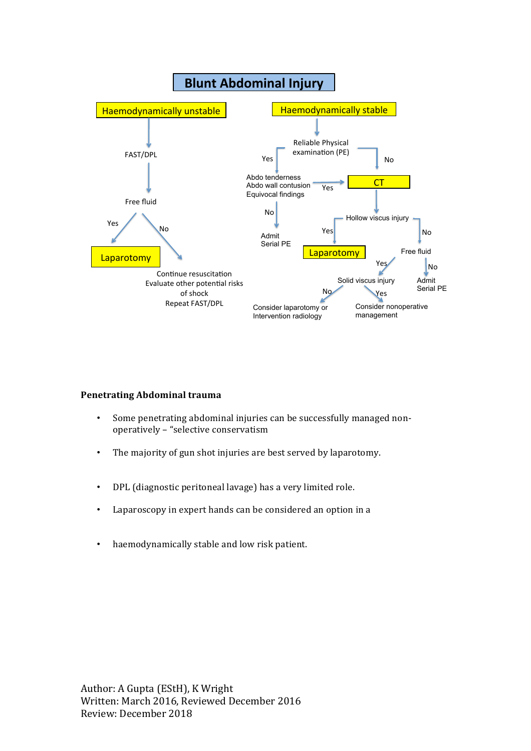

#### **Penetrating Abdominal trauma**

- Some penetrating abdominal injuries can be successfully managed nonoperatively - "selective conservatism
- The majority of gun shot injuries are best served by laparotomy.
- DPL (diagnostic peritoneal lavage) has a very limited role.
- Laparoscopy in expert hands can be considered an option in a
- haemodynamically stable and low risk patient.

Author: A Gupta (EStH), K Wright Written: March 2016, Reviewed December 2016 Review: December 2018